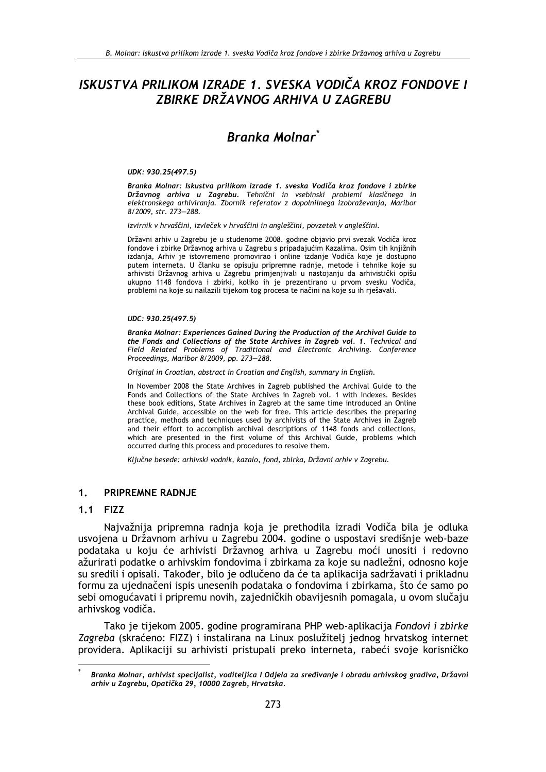# ISKUSTVA PRILIKOM IZRADE 1. SVESKA VODIČA KROZ FONDOVE I ZBIRKE DRŽAVNOG ARHIVA U ZAGREBU

# Branka Molnar<sup>\*</sup>

#### UDK: 930.25(497.5)

Branka Molnar: Iskustva prilikom izrade 1. sveska Vodiča kroz fondove i zbirke Državnog arhiva u Zagrebu. Tehnični in vsebinski problemi klasičnega in elektronskega arhiviranja. Zbornik referatov z dopolnilnega izobraževanja, Maribor 8/2009, str. 273-288.

Izvirnik v hrvaščini, izvleček v hrvaščini in angleščini, povzetek v angleščini.

Državni arhiv u Zagrebu je u studenome 2008. godine objavio prvi svezak Vodiča kroz fondove i zbirke Državnog arhiva u Zagrebu s pripadajućim Kazalima. Osim tih knjižnih izdanja, Arhiv je istovremeno promovirao i online izdanje Vodiča koje je dostupno putem interneta. U članku se opisuju pripremne radnje, metode i tehnike koje su arhivisti Državnog arhiva u Zagrebu primjenjivali u nastojanju da arhivistički opišu ukupno 1148 fondova i zbirki, koliko ih je prezentirano u prvom svesku Vodiča, problemi na koje su nailazili tijekom tog procesa te načini na koje su ih rješavali.

#### UDC: 930.25(497.5)

Branka Molnar: Experiences Gained During the Production of the Archival Guide to the Fonds and Collections of the State Archives in Zagreb vol. 1. Technical and Field Related Problems of Traditional and Electronic Archiving. Conference Proceedings, Maribor 8/2009, pp. 273-288.

Original in Croatian, abstract in Croatian and English, summary in English.

In November 2008 the State Archives in Zagreb published the Archival Guide to the Fonds and Collections of the State Archives in Zagreb vol. 1 with Indexes. Besides these book editions, State Archives in Zagreb at the same time introduced an Online Archival Guide, accessible on the web for free. This article describes the preparing practice, methods and techniques used by archivists of the State Archives in Zagreb and their effort to accomplish archival descriptions of 1148 fonds and collections, which are presented in the first volume of this Archival Guide, problems which occurred during this process and procedures to resolve them.

Ključne besede: arhivski vodnik, kazalo, fond, zbirka, Državni arhiv v Zagrebu.

#### $1<sub>1</sub>$ **PRIPREMNE RADNJE**

#### 1.1 FIZZ

Najvažnija pripremna radnja koja je prethodila izradi Vodiča bila je odluka usvojena u Državnom arhivu u Zagrebu 2004. godine o uspostavi središnje web-baze podataka u koju će arhivisti Državnog arhiva u Zagrebu moći unositi i redovno ažurirati podatke o arhivskim fondovima i zbirkama za koje su nadležni, odnosno koje su sredili i opisali. Također, bilo je odlučeno da će ta aplikacija sadržavati i prikladnu formu za ujednačeni ispis unesenih podataka o fondovima i zbirkama, što će samo po sebi omogućavati i pripremu novih, zajedničkih obavijesnih pomagala, u ovom slučaju arhivskog vodiča.

Tako je tijekom 2005. godine programirana PHP web-aplikacija Fondovi i zbirke Zagreba (skraćeno: FIZZ) i instalirana na Linux poslužitelj jednog hrvatskog internet providera. Aplikaciji su arhivisti pristupali preko interneta, rabeći svoje korisničko

Branka Molnar, arhivist specijalist, voditeljica I Odjela za sređivanje i obradu arhivskog gradiva, Državni arhiv u Zagrebu, Opatička 29, 10000 Zagreb, Hrvatska.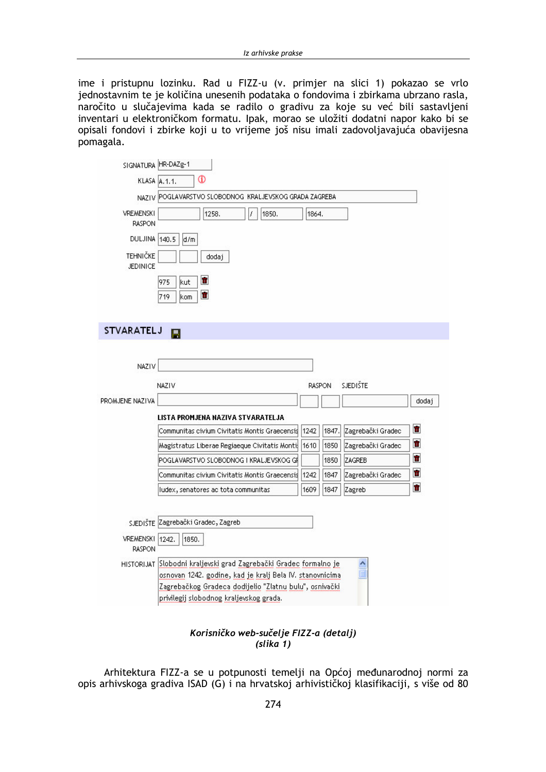ime i pristupnu lozinku. Rad u FIZZ-u (v. primjer na slici 1) pokazao se vrlo jednostavnim te je količina unesenih podataka o fondovima i zbirkama ubrzano rasla, naročito u slučajevima kada se radilo o gradivu za koje su već bili sastavljeni increase a stasa, svihla hasta se rasne e gradira za neje sa res sin sastarijem opisali fondovi i zbirke koji u to vrijeme još nisu imali zadovoljavajuća obavijesna pomagala.

| SIGNATURA HR-DAZg-1                |                                                                                                                    |  |  |  |  |
|------------------------------------|--------------------------------------------------------------------------------------------------------------------|--|--|--|--|
|                                    | ⊕<br>KLASA A.1.1.                                                                                                  |  |  |  |  |
|                                    | NAZIV POGLAVARSTVO SLOBODNOG KRALJEVSKOG GRADA ZAGREBA                                                             |  |  |  |  |
| <b>VREMENSKI</b>                   | 1258.<br>f<br>1850.<br>1864.                                                                                       |  |  |  |  |
| <b>RASPON</b>                      |                                                                                                                    |  |  |  |  |
| DULJINA 140.5                      | d/m                                                                                                                |  |  |  |  |
| <b>TEHNIČKE</b><br><b>JEDINICE</b> | dodaj                                                                                                              |  |  |  |  |
|                                    | п<br>975<br>kut                                                                                                    |  |  |  |  |
|                                    | $\blacksquare$<br>719<br>kom                                                                                       |  |  |  |  |
|                                    |                                                                                                                    |  |  |  |  |
| <b>STVARATELJ</b>                  | Π                                                                                                                  |  |  |  |  |
|                                    |                                                                                                                    |  |  |  |  |
| NAZIV                              |                                                                                                                    |  |  |  |  |
|                                    | SJEDIŠTE<br>NAZIV<br>RASPON                                                                                        |  |  |  |  |
| PROMJENE NAZIVA                    | dodaj                                                                                                              |  |  |  |  |
|                                    | LISTA PROMJENA NAZIVA STVARATELJA                                                                                  |  |  |  |  |
|                                    | T.<br>Zagrebački Gradec<br>Communitas civium Civitatis Montis Graecensis<br>1242<br>1847.                          |  |  |  |  |
|                                    | $\blacksquare$<br>1610<br>1850<br>Zagrebački Gradec<br>Magistratus Liberae Regiaeque Civitatis Monti:              |  |  |  |  |
|                                    | $\blacksquare$<br>POGLAVARSTVO SLOBODNOG I KRALJEVSKOG GF<br>ZAGREB<br>1850                                        |  |  |  |  |
|                                    | П<br>1242<br>Zagrebački Gradec<br>Communitas civium Civitatis Montis Graecensis<br>1847                            |  |  |  |  |
|                                    | $\blacksquare$<br>1609<br>1847<br>Zagreb<br>ludex, senatores ac tota communitas                                    |  |  |  |  |
|                                    |                                                                                                                    |  |  |  |  |
|                                    | SJEDIŠTE Zagrebački Gradec, Zagreb                                                                                 |  |  |  |  |
| VREMENSKI 1242.<br><b>RASPON</b>   | 1850.                                                                                                              |  |  |  |  |
|                                    | HISTORIJAT Slobodni kraljevski grad Zagrebački Gradec formalno je                                                  |  |  |  |  |
|                                    | osnovan 1242. godine, kad je kralj Bela IV. stanovnicima<br>Zagrebačkog Gradeca dodijelio "Zlatnu bulu", osnivački |  |  |  |  |
|                                    | privilegij slobodnog kraljevskog grada.                                                                            |  |  |  |  |
|                                    |                                                                                                                    |  |  |  |  |

Korisničko web-sučelje FIZZ-a (detalj) (slika 1)

Arhitektura FIZZ-a se u potpunosti temelji na Općoj međunarodnoj normi za opis arhivskoga gradiva ISAD (G) i na hrvatskoj arhivističkoj klasifikaciji, s više od 80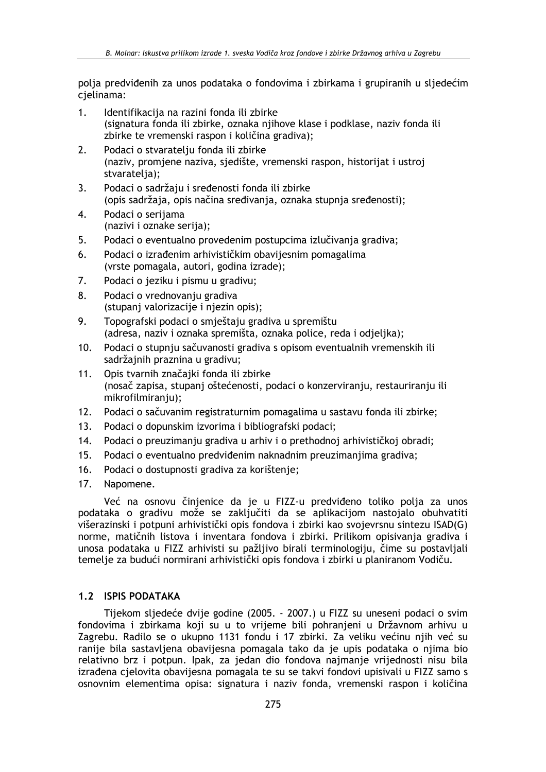polia predviđenih za unos podataka o fondovima i zbirkama i grupiranih u sliedećim cielinama:

- $1.$ Identifikacija na razini fonda ili zbirke (signatura fonda ili zbirke, oznaka njihove klase i podklase, naziv fonda ili zbirke te vremenski raspon i količina gradiva);
- $2.$ Podaci o stvaratelju fonda ili zbirke (naziv, promjene naziva, sjedište, vremenski raspon, historijat i ustroj stvaratelja);
- Podaci o sadržaju i sređenosti fonda ili zbirke  $3<sub>1</sub>$ (opis sadržaja, opis načina sređivanja, oznaka stupnja sređenosti);
- 4. Podaci o serijama (nazivi i oznake serija);
- $5.$ Podaci o eventualno provedenim postupcima izlučivanja gradiva;
- $6.$ Podaci o izrađenim arhivističkim obavijesnim pomagalima (vrste pomagala, autori, godina izrade);
- $7<sup>1</sup>$ Podaci o jeziku i pismu u gradivu;
- 8. Podaci o vrednovanju gradiva (stupanj valorizacije i njezin opis);
- 9. Topografski podaci o smještaju gradiva u spremištu (adresa, naziv i oznaka spremišta, oznaka police, reda i odjeljka);
- $10<sub>1</sub>$ Podaci o stupnju sačuvanosti gradiva s opisom eventualnih vremenskih ili sadržajnih praznina u gradivu;
- 11. Opis tvarnih značajki fonda ili zbirke (nosač zapisa, stupanj oštećenosti, podaci o konzerviranju, restauriranju ili mikrofilmiraniu):
- $12.$ Podaci o sačuvanim registraturnim pomagalima u sastavu fonda ili zbirke;
- $13.$ Podaci o dopunskim izvorima i bibliografski podaci;
- $14.$ Podaci o preuzimanju gradiva u arhiv i o prethodnoj arhivističkoj obradi;
- $15.$ Podaci o eventualno predviđenim naknadnim preuzimanjima gradiva;
- $16.$ Podaci o dostupnosti gradiva za korištenie:
- $17.$ Napomene.

Već na osnovu činienice da je u FIZZ-u predviđeno toliko polja za unos podataka o gradivu može se zaključiti da se aplikacijom nastojalo obuhvatiti višerazinski i potpuni arhivistički opis fondova i zbirki kao svojevrsnu sintezu ISAD(G) norme, matičnih listova i inventara fondova i zbirki. Prilikom opisivanja gradiva i unosa podataka u FIZZ arhivisti su pažljivo birali terminologiju, čime su postavljali temelje za budući normirani arhivistički opis fondova i zbirki u planiranom Vodiču.

## 1.2 ISPIS PODATAKA

Tijekom sljedeće dvije godine (2005. - 2007.) u FIZZ su uneseni podaci o svim fondovima i zbirkama koji su u to vrijeme bili pohranjeni u Državnom arhivu u Zagrebu. Radilo se o ukupno 1131 fondu i 17 zbirki. Za veliku većinu njih već su ranije bila sastavljena obavijesna pomagala tako da je upis podataka o njima bio relativno brz i potpun. Ipak, za jedan dio fondova najmanje vrijednosti nisu bila izrađena cjelovita obavijesna pomagala te su se takvi fondovi upisivali u FIZZ samo s osnovnim elementima opisa: signatura i naziv fonda, vremenski raspon i količina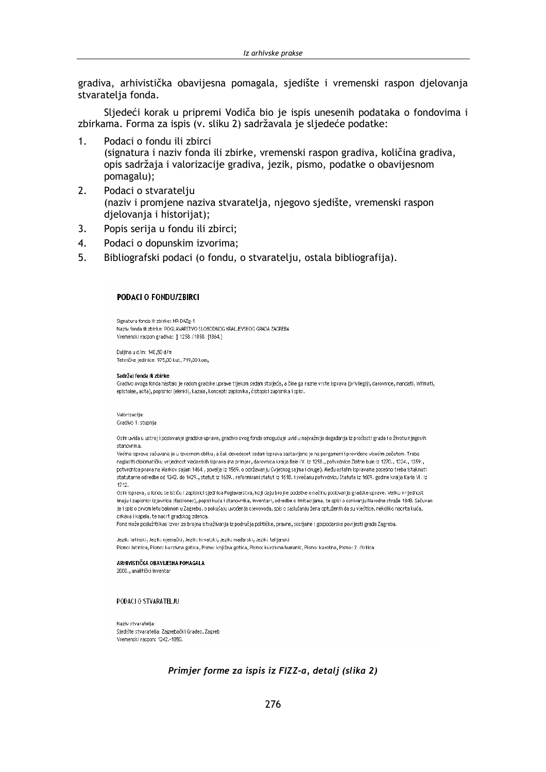gradiva, arhivistička obavijesna pomagala, sjedište i vremenski raspon djelovanja stvaratelja fonda.

Sljedeći korak u pripremi Vodiča bio je ispis unesenih podataka o fondovima i zbirkama. Forma za ispis (v. sliku 2) sadržavala je sljedeće podatke:

- $1<sub>1</sub>$ Podaci o fondu ili zbirci (signatura i naziv fonda ili zbirke, vremenski raspon gradiva, količina gradiva, opis sadržaja i valorizacije gradiva, jezik, pismo, podatke o obavijesnom pomagalu);
- $2.$ Podaci o stvaratelju (naziv i promjene naziva stvaratelja, njegovo sjedište, vremenski raspon djelovanja i historijat);
- $3<sub>1</sub>$ Popis serija u fondu ili zbirci;
- Podaci o dopunskim izvorima;  $\overline{4}$ .
- $5<sub>1</sub>$ Bibliografski podaci (o fondu, o stvaratelju, ostala bibliografija).

#### PODACI O FONDU/ZBIRCI

Signatura fonda ili zhirker HR-DAZo-1 Naziv fonda ili zbirke: POGLAVARSTVO SLOBODNOG KRALJEVSKOG GRADA ZAGREBA Vremenski raspon gradiva: [] 1258./1850. [1864.]

Dultina u.d/m: 140-50 d/m Tehničke jedinice: 975,00 kut, 719,00 kom,

#### Sadržaj fonda ili zbirke

Gradivo ovoga fonda nastalo je radom gradske uprave tijekom sedam stoljeća, a čine ga razne vrste isprava (privilegiji, darovnice, mandati, intimati, epistolae, acta), popisnici (elenki), kazala, koncepti zapisnika, čistopisi zapisnika i spisi.

Valorizacija Gradivo 1. stupnja

Osim uvida u ustroj i poslovanje gradske uprave, gradivo ovog fonda omogućuje uvid u najvažnija događanja iz prošlosti grada i o životu njegovih stanovnika.

Većina isprava sačuvana je u izvornom obliku, a čak devedeset sedam isprava sastavljeno je na pergameni i proviđeno visećim pečatom. Treba naglasiti diplomatičku vrijednost vladarskih isprava (na primjer, darovnica kralja Bele IV, iz 1258., potvrdnice Zlatne bule iz 1270., 1324., 1359., potvrdnica prava na Markov sajam 1464., povelja iz 1569. o održavanju Cvjetnog sajma i druge). Među ostalim ispravama posebno treba istaknuti statutarne odredbe od 1242. do 1429., statut iz 1609., reformirani statut iz 1618. i svečanu potvrdnicu Statuta iz 1609. godine kralja Karla VI. iz 1712.

Osim isnrava, u fondu se ističu i zanisnici sjednica Poglavarstva, koji daju brojne podatke o načinu poslovanja gradske uprave. Veliku vrijednost imajų i zapisnici izjavnica (fassiones), popisi kuća įstanovnika, inventari, odredbe o limitacijama, te spisi o osnivanjų Narodne straže 1848. Sačuvan je i spis o prvom letu balonom u Zagrebu, o pokušaju uvođenja cjevovoda, spis o saslušanju žena optuženih da su vještice, nekoliko nacrta kuća, crkava i kapela, te nacrt gradskog zdenca.

Fond može poslužiti kao izvor za brojna istraživanja iz područja političke, pravne, socijalne i gospodarske povijesti grada Zagreba.

Jezik: latinski, Jezik: njemački, Jezik: hrvatski, Jezik: mađarski, Jezik: talijanski Pismo: latinica, Pismo: kurzivna gotica, Pismo: knjižna gotica, Pismo: kurzivna humanis, Pismo: karolina, Pismo: 2. ćirilica

ARHIVISTIČKA OBAVIJESNA POMAGALA

2000., analitički inventar

#### PODACI O STVARATELJU

Naziv stvaratelja: Sjedište stvaratelja: Zagrebački Gradec, Zagreb Vremenski raspon: 1242.-1850.

#### Primjer forme za ispis iz FIZZ-a, detalj (slika 2)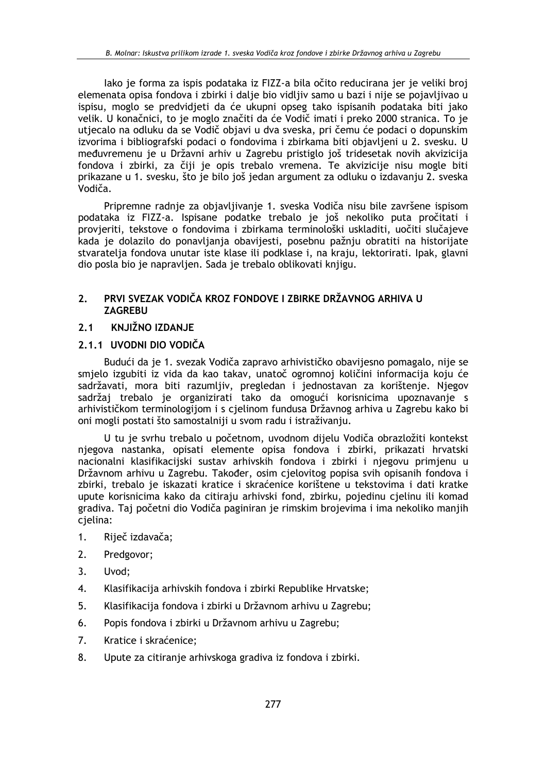lako je forma za ispis podataka iz FIZZ-a bila očito reducirana jer je veliki broj elemenata opisa fondova i zbirki i dalje bio vidljiv samo u bazi i nije se pojavljivao u ispisu, moglo se predvidjeti da će ukupni opseg tako ispisanih podataka biti jako velik. U konačnici, to je moglo značiti da će Vodič imati i preko 2000 stranica. To je utjecalo na odluku da se Vodič objavi u dva sveska, pri čemu će podaci o dopunskim izvorima i bibliografski podaci o fondovima i zbirkama biti objavljeni u 2. svesku. U međuvremenu je u Državni arhiv u Zagrebu pristiglo još tridesetak novih akvizicija fondova i zbirki, za čiji je opis trebalo vremena. Te akvizicije nisu mogle biti prikazane u 1. svesku, što je bilo još jedan argument za odluku o izdavanju 2. sveska Vodiča.

Pripremne radnje za objavljivanje 1. sveska Vodiča nisu bile završene ispisom podataka iz FIZZ-a. Ispisane podatke trebalo je još nekoliko puta pročitati i provieriti, tekstove o fondovima i zbirkama terminološki uskladiti, uočiti slučajeve kada je dolazilo do ponavljanja obavijesti, posebnu pažnju obratiti na historijate stvaratelja fondova unutar iste klase ili podklase i, na kraju, lektorirati. Ipak, glavni dio posla bio je napravljen. Sada je trebalo oblikovati knjigu.

#### PRVI SVEZAK VODIČA KROZ FONDOVE I ZBIRKE DRŽAVNOG ARHIVA U  $2<sup>1</sup>$ **ZAGREBU**

#### KNJIŽNO IZDANJE  $2.1$

## 2.1.1 UVODNI DIO VODIČA

Budući da je 1. svezak Vodiča zapravo arhivističko obavijesno pomagalo, nije se smjelo izgubiti iz vida da kao takav, unatoč ogromnoj količini informacija koju će sadržavati, mora biti razumljiv, pregledan i jednostavan za korištenje. Njegov sadržaj trebalo je organizirati tako da omogući korisnicima upoznavanje s arhivističkom terminologijom i s cjelinom fundusa Državnog arhiva u Zagrebu kako bi oni mogli postati što samostalniji u svom radu i istraživanju.

U tu je svrhu trebalo u početnom, uvodnom dijelu Vodiča obrazložiti kontekst niegova nastanka, opisati elemente opisa fondova i zbirki, prikazati hrvatski nacionalni klasifikacijski sustav arhivskih fondova i zbirki i njegovu primjenu u Državnom arhivu u Zagrebu. Također, osim cielovitog popisa svih opisanih fondova i zbirki, trebalo je iskazati kratice i skraćenice korištene u tekstovima i dati kratke upute korisnicima kako da citiraju arhivski fond, zbirku, pojedinu cjelinu ili komad gradiva. Taj početni dio Vodiča paginiran je rimskim brojevima i ima nekoliko manjih cielina:

- $1.$ Riječ izdavača;
- $2.$ Predgovor;
- $\overline{3}$ . Uvod:
- $\overline{4}$ . Klasifikacija arhivskih fondova i zbirki Republike Hrvatske;
- 5. Klasifikacija fondova i zbirki u Državnom arhivu u Zagrebu;
- 6. Popis fondova i zbirki u Državnom arhivu u Zagrebu;
- $7<sub>1</sub>$ Kratice i skraćenice:
- 8. Upute za citiranje arhivskoga gradiva iz fondova i zbirki.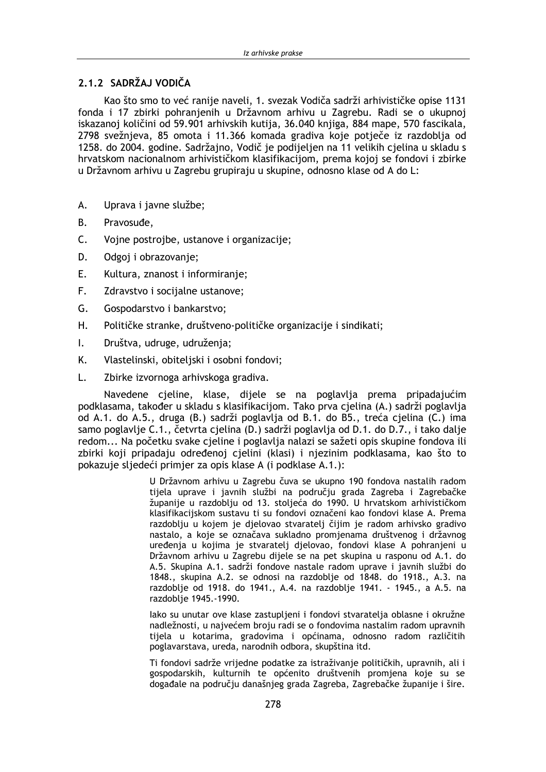## 2.1.2 SADRŽAJ VODIČA

Kao što smo to već ranije naveli. 1. svezak Vodiča sadrži arhivističke opise 1131 fonda i 17 zbirki pohranjenih u Državnom arhivu u Zagrebu. Radi se o ukupnoj iskazanoj količini od 59.901 arhivskih kutija, 36.040 knjiga, 884 mape, 570 fascikala, 2798 svežnjeva, 85 omota i 11.366 komada gradiva koje potječe iz razdoblja od 1258. do 2004. godine. Sadržajno, Vodič je podijeljen na 11 velikih cjelina u skladu s hrvatskom nacionalnom arhivističkom klasifikacijom, prema kojoj se fondovi i zbirke u Državnom arhivu u Zagrebu grupiraju u skupine, odnosno klase od A do L:

- А. Uprava i javne službe;
- **B.** Pravosuđe,
- $\mathsf{C}$ . Vojne postrojbe, ustanove i organizacije;
- D. Odgoj i obrazovanje;
- E. Kultura, znanost i informiranje;
- $F_{\perp}$ Zdravstvo i socijalne ustanove;
- $G_{\perp}$ Gospodarstvo i bankarstvo;
- $H<sub>1</sub>$ Političke stranke, društveno-političke organizacije i sindikati;
- $\mathbf{L}$ Društva, udruge, udruženja;
- K. Vlastelinski, obiteljski i osobni fondovi;
- L. Zbirke izvornoga arhivskoga gradiva.

Navedene cjeline, klase, dijele se na poglavlja prema pripadajućim podklasama, također u skladu s klasifikacijom. Tako prva cjelina (A.) sadrži poglavlja od A.1. do A.5., druga (B.) sadrži poglavlja od B.1. do B5., treća cjelina (C.) ima samo poglavlje C.1., četvrta cielina (D.) sadrži poglavlja od D.1. do D.7., i tako dalje redom... Na početku svake cjeline i poglavlja nalazi se sažeti opis skupine fondova ili zbirki koji pripadaju određenoj cjelini (klasi) i njezinim podklasama, kao što to pokazuje sljedeći primjer za opis klase A (i podklase A.1.):

> U Državnom arhivu u Zagrebu čuva se ukupno 190 fondova nastalih radom tijela uprave i javnih službi na području grada Zagreba i Zagrebačke županije u razdoblju od 13. stoljeća do 1990. U hrvatskom arhivističkom klasifikacijskom sustavu ti su fondovi označeni kao fondovi klase A. Prema razdoblju u kojem je djelovao stvaratelj čijim je radom arhivsko gradivo nastalo, a koje se označava sukladno promjenama društvenog i državnog uređenja u kojima je stvaratelj djelovao, fondovi klase A pohranjeni u Državnom arhivu u Zagrebu dijele se na pet skupina u rasponu od A.1. do A.5. Skupina A.1. sadrži fondove nastale radom uprave i javnih službi do 1848., skupina A.2. se odnosi na razdoblje od 1848. do 1918., A.3. na razdoblje od 1918. do 1941., A.4. na razdoblje 1941. - 1945., a A.5. na razdoblje 1945.-1990.

> lako su unutar ove klase zastupljeni i fondovi stvaratelja oblasne i okružne nadležnosti, u najvećem broju radi se o fondovima nastalim radom upravnih tijela u kotarima, gradovima i općinama, odnosno radom različitih poglavarstava, ureda, narodnih odbora, skupština itd.

> Ti fondovi sadrže vrijedne podatke za istraživanje političkih, upravnih, ali i gospodarskih, kulturnih te općenito društvenih promjena koje su se događale na području današnjeg grada Zagreba, Zagrebačke županije i šire.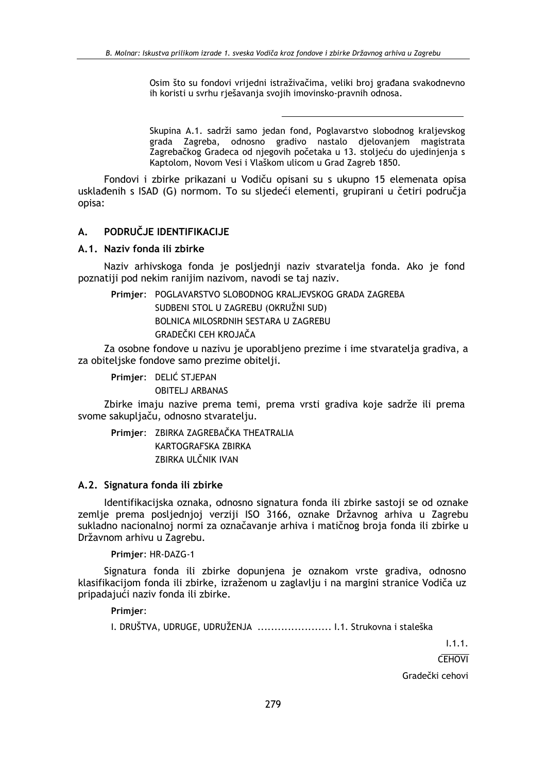Osim što su fondovi vrijedni istraživačima, veliki broj građana svakodnevno ih koristi u svrhu rješavanja svojih imovinsko-pravnih odnosa.

Skupina A.1. sadrži samo jedan fond, Poglavarstvo slobodnog kraljevskog grada Zagreba, odnosno gradivo nastalo djelovanjem magistrata Zagrebačkog Gradeca od njegovih početaka u 13. stoljeću do ujedinjenja s Kaptolom, Novom Vesi i Vlaškom ulicom u Grad Zagreb 1850.

Fondovi i zbirke prikazani u Vodiču opisani su s ukupno 15 elemenata opisa usklađenih s ISAD (G) normom. To su sljedeći elementi, grupirani u četiri područja opisa:

#### PODRUČJE IDENTIFIKACIJE **A.**

### A.1. Naziv fonda ili zbirke

Naziv arhivskoga fonda je posljednij naziv stvaratelja fonda. Ako je fond poznatiji pod nekim ranijim nazivom, navodi se taj naziv.

Primjer: POGLAVARSTVO SLOBODNOG KRALJEVSKOG GRADA ZAGREBA

SUDBENI STOL U ZAGREBU (OKRUŽNI SUD) BOLNICA MILOSRDNIH SESTARA U ZAGREBU GRADEČKI CEH KROJAČA

Za osobne fondove u nazivu je uporabljeno prezime i ime stvaratelja gradiva, a za obiteljske fondove samo prezime obitelji.

Primier: DELIĆ STJEPAN

**OBITELJ ARBANAS** 

Zbirke imaju nazive prema temi, prema vrsti gradiva koje sadrže ili prema svome sakupljaču, odnosno stvaratelju.

Primier: ZBIRKA ZAGREBAČKA THEATRALIA KARTOGRAFSKA ZBIRKA **7BIRKA LII ČNIK IVAN** 

#### A.2. Signatura fonda ili zbirke

Identifikacijska oznaka, odnosno signatura fonda ili zbirke sastoji se od oznake zemlje prema posljednjoj verziji ISO 3166, oznake Državnog arhiva u Zagrebu sukladno nacionalnoj normi za označavanje arhiva i matičnog broja fonda ili zbirke u Državnom arhivu u Zagrebu.

Primjer: HR-DAZG-1

Signatura fonda ili zbirke dopunjena je oznakom vrste gradiva, odnosno klasifikacijom fonda ili zbirke, izraženom u zaglavlju i na margini stranice Vodiča uz pripadajući naziv fonda ili zbirke.

Primjer:

I. DRUŠTVA, UDRUGE, UDRUŽENJA ........................ I.1. Strukovna i staleška

 $1.1.1.$  $C<sub>FH</sub>$ 

Gradečki cehovi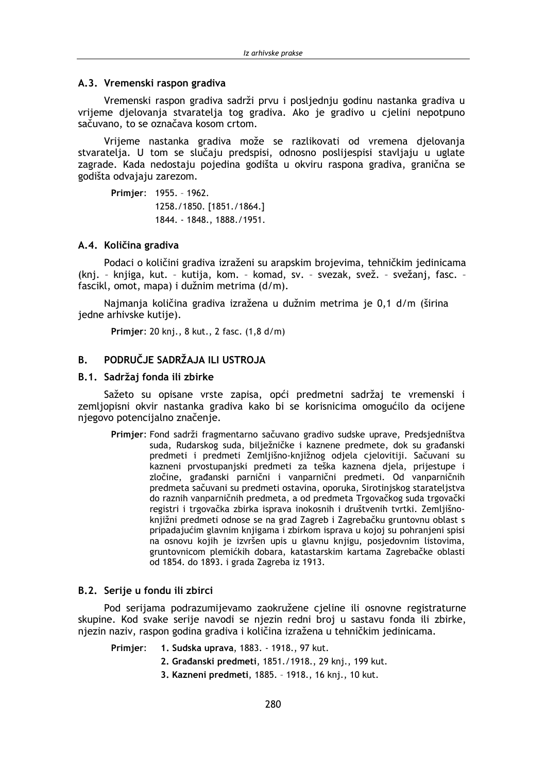#### A.3. Vremenski raspon gradiva

Vremenski raspon gradiva sadrži prvu i posljednju godinu nastanka gradiva u vrijeme djelovanja stvaratelja tog gradiva. Ako je gradivo u cjelini nepotpuno sačuvano, to se označava kosom crtom.

Vrijeme nastanka gradiva može se razlikovati od vremena djelovanja stvaratelja. U tom se slučaju predspisi, odnosno poslijespisi stavljaju u uglate zagrade. Kada nedostaju pojedina godišta u okviru raspona gradiva, granična se godišta odvajaju zarezom.

```
Primjer: 1955. - 1962.
1258./1850. [1851./1864.]
1844. - 1848., 1888./1951.
```
### A.4. Količina gradiva

Podaci o količini gradiva izraženi su arapskim brojevima, tehničkim jedinicama (knj. - knjiga, kut. - kutija, kom. - komad, sv. - svezak, svež. - svežanj, fasc. fascikl, omot, mapa) i dužnim metrima (d/m).

Najmanja količina gradiva izražena u dužnim metrima je 0.1 d/m (širina jedne arhivske kutije).

Primjer: 20 knj., 8 kut., 2 fasc. (1,8 d/m)

#### PODRUČJE SADRŽAJA ILI USTROJA B.

#### B.1. Sadržaj fonda ili zbirke

Sažeto su opisane vrste zapisa, opći predmetni sadržaj te vremenski i zemljopisni okvir nastanka gradiva kako bi se korisnicima omogućilo da ocijene njegovo potencijalno značenje.

Primjer: Fond sadrži fragmentarno sačuvano gradivo sudske uprave, Predsjedništva suda, Rudarskog suda, bilježničke i kaznene predmete, dok su građanski predmeti i predmeti Zemljišno-knjižnog odjela cjelovitiji. Sačuvani su kazneni prvostupanjski predmeti za teška kaznena djela, prijestupe i zločine, građanski parnični i vanparnični predmeti. Od vanparničnih predmeta sačuvani su predmeti ostavina, oporuka, Sirotinjskog starateljstva do raznih vanparničnih predmeta, a od predmeta Trgovačkog suda trgovački registri i trgovačka zbirka isprava inokosnih i društvenih tvrtki. Zemljišnoknjižni predmeti odnose se na grad Zagreb i Zagrebačku gruntovnu oblast s pripadajućim glavnim knjigama i zbirkom isprava u kojoj su pohranjeni spisi na osnovu kojih je izvršen upis u glavnu knjigu, posjedovnim listovima, gruntovnicom plemićkih dobara, katastarskim kartama Zagrebačke oblasti od 1854. do 1893. i grada Zagreba iz 1913.

#### B.2. Serije u fondu ili zbirci

Pod serijama podrazumijevamo zaokružene cjeline ili osnovne registraturne skupine. Kod svake serije navodi se njezin redni broj u sastavu fonda ili zbirke, njezin naziv, raspon godina gradiva i količina izražena u tehničkim jedinicama.

Primier: 1. Sudska uprava, 1883. - 1918., 97 kut.

- 2. Građanski predmeti, 1851./1918., 29 knj., 199 kut.
- 3. Kazneni predmeti, 1885. 1918., 16 knj., 10 kut.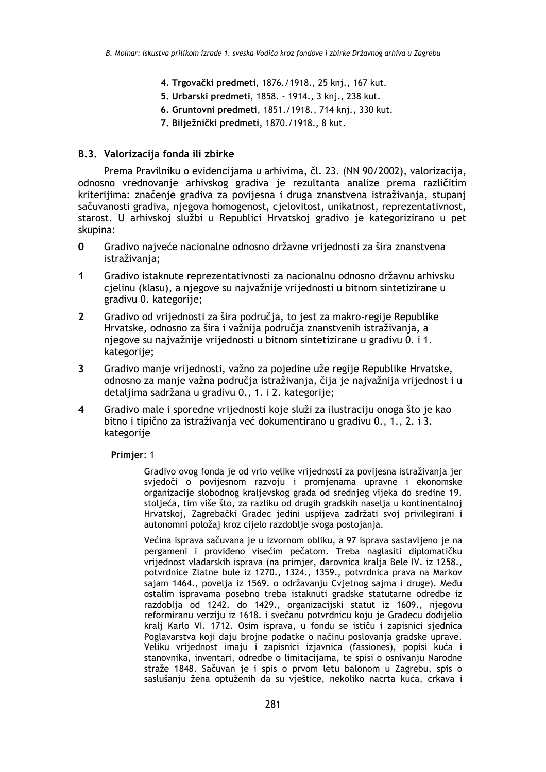- 4. Trgovački predmeti, 1876./1918., 25 knj., 167 kut.
- 5. Urbarski predmeti, 1858. 1914., 3 knj., 238 kut.
- 6. Gruntovni predmeti, 1851./1918., 714 knj., 330 kut.
- 7. Bilježnički predmeti, 1870./1918., 8 kut.

## B.3. Valorizacija fonda ili zbirke

Prema Pravilniku o evidencijama u arhivima, čl. 23. (NN 90/2002), valorizacija, odnosno vrednovanje arhivskog gradiva je rezultanta analize prema različitim kriterijima: značenje gradiva za povijesna i druga znanstvena istraživanja, stupanj sačuvanosti gradiva, njegova homogenost, cjelovitost, unikatnost, reprezentativnost, starost. U arhivskoj službi u Republici Hrvatskoj gradivo je kategorizirano u pet skupina:

- $\mathbf 0$ Gradivo najveće nacionalne odnosno državne vrijednosti za šira znanstvena istraživania:
- $\mathbf{1}$ Gradivo istaknute reprezentativnosti za nacionalnu odnosno državnu arhivsku cielinu (klasu), a niegove su najvažnije vrijednosti u bitnom sintetizirane u gradivu 0. kategorije;
- $2<sup>1</sup>$ Gradivo od vrijednosti za šira područja, to jest za makro-regije Republike Hrvatske, odnosno za šira i važnija područja znanstvenih istraživanja, a njegove su najvažnije vrijednosti u bitnom sintetizirane u gradivu 0. i 1. kategorije;
- $\overline{3}$ Gradivo manje vrijednosti, važno za pojedine uže regije Republike Hrvatske, odnosno za manje važna područja istraživanja, čija je najvažnija vrijednost i u detaljima sadržana u gradivu 0., 1. i 2. kategorije;
- $\overline{\mathbf{4}}$ Gradivo male i sporedne vrijednosti koje služi za ilustraciju onoga što je kao bitno i tipično za istraživanja već dokumentirano u gradivu 0., 1., 2. i 3. kategorije

#### Primjer: 1

Gradivo ovog fonda je od vrlo velike vrijednosti za povijesna istraživanja jer svjedoči o povijesnom razvoju i promjenama upravne i ekonomske organizacije slobodnog kraljevskog grada od srednjeg vijeka do sredine 19. stoljeća, tim više što, za razliku od drugih gradskih naselja u kontinentalnoj Hrvatskoj, Zagrebački Gradec jedini uspijeva zadržati svoj privilegirani i autonomni položaj kroz cijelo razdoblje svoga postojanja.

Većina isprava sačuvana je u izvornom obliku, a 97 isprava sastavljeno je na pergameni i proviđeno visećim pečatom. Treba naglasiti diplomatičku vrijednost vladarskih isprava (na primjer, darovnica kralja Bele IV. iz 1258., potvrdnice Zlatne bule iz 1270., 1324., 1359., potvrdnica prava na Markov sajam 1464., povelja iz 1569. o održavanju Cvjetnog sajma i druge). Među ostalim ispravama posebno treba istaknuti gradske statutarne odredbe iz razdoblja od 1242. do 1429., organizacijski statut iz 1609., njegovu reformiranu verziju iz 1618. i svečanu potvrdnicu koju je Gradecu dodijelio kralj Karlo VI. 1712. Osim isprava, u fondu se ističu i zapisnici sjednica Poglavarstva koji daju brojne podatke o načinu poslovanja gradske uprave. Veliku vrijednost imaju i zapisnici izjavnica (fassiones), popisi kuća i stanovnika, inventari, odredbe o limitacijama, te spisi o osnivanju Narodne straže 1848. Sačuvan je i spis o prvom letu balonom u Zagrebu, spis o saslušanju žena optuženih da su vještice, nekoliko nacrta kuća, crkava i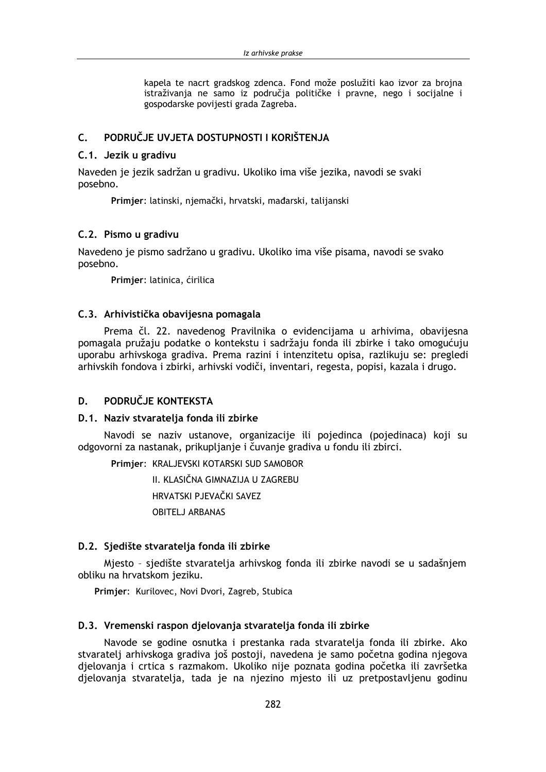kapela te nacrt gradskog zdenca. Fond može poslužiti kao izvor za brojna istraživanja ne samo iz područja političke i pravne, nego i socijalne i gospodarske povijesti grada Zagreba.

#### PODRUČJE UVJETA DOSTUPNOSTI I KORIŠTENJA  $\mathsf{C}$

### C.1. Jezik u gradivu

Naveden je jezik sadržan u gradivu. Ukoliko ima više jezika, navodi se svaki posebno.

Primjer: latinski, njemački, hrvatski, mađarski, talijanski

## C.2. Pismo u gradivu

Navedeno je pismo sadržano u gradivu. Ukoliko ima više pisama, navodi se svako posebno.

Primjer: latinica, ćirilica

## C.3. Arhivistička obavijesna pomagala

Prema čl. 22. navedenog Pravilnika o evidencijama u arhivima, obavijesna pomagala pružaju podatke o kontekstu i sadržaju fonda ili zbirke i tako omogućuju uporabu arhivskoga gradiva. Prema razini i intenzitetu opisa, razlikuju se: pregledi arhivskih fondova i zbirki, arhivski vodiči, inventari, regesta, popisi, kazala i drugo.

#### PODRUČJE KONTEKSTA D.

## D.1. Naziv stvaratelia fonda ili zbirke

Navodi se naziv ustanove, organizacije ili pojedinca (pojedinaca) koji su odgovorni za nastanak, prikupljanje i čuvanje gradiva u fondu ili zbirci.

Primjer: KRALJEVSKI KOTARSKI SUD SAMOBOR

II. KLASIČNA GIMNAZIJA U ZAGREBU HRVATSKI PJEVAČKI SAVEZ **OBITELJ ARBANAS** 

## D.2. Sjedište stvaratelja fonda ili zbirke

Mjesto - sjedište stvaratelja arhivskog fonda ili zbirke navodi se u sadašnjem obliku na hrvatskom jeziku.

Primier: Kurilovec, Novi Dvori, Zagreb, Stubica

## D.3. Vremenski raspon djelovanja stvaratelja fonda ili zbirke

Navode se godine osnutka i prestanka rada stvaratelia fonda ili zbirke. Ako stvaratelj arhivskoga gradiva još postoji, navedena je samo početna godina njegova djelovanja i crtica s razmakom. Ukoliko nije poznata godina početka ili završetka djelovanja stvaratelja, tada je na njezino mjesto ili uz pretpostavljenu godinu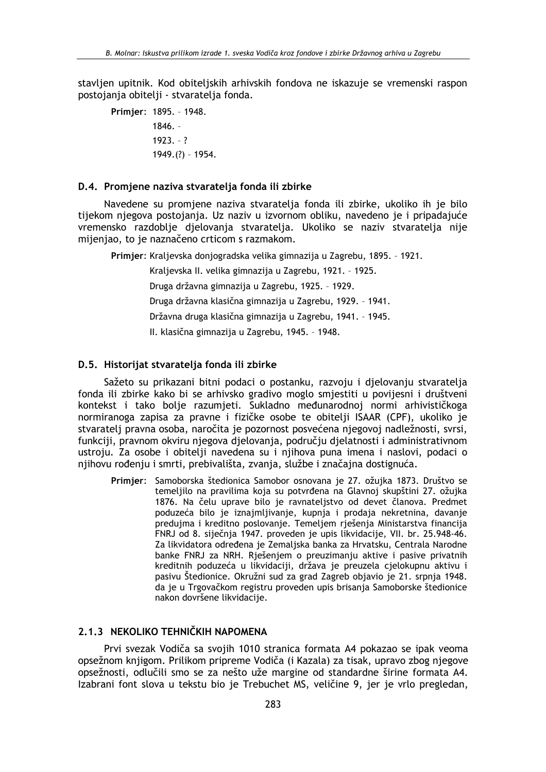stavljen upitnik. Kod obiteljskih arhivskih fondova ne iskazuje se vremenski raspon postojanja obitelji - stvaratelja fonda.

Primjer: 1895. - 1948.  $1846. 1923. - ?$  $1949.(?) - 1954.$ 

### D.4. Promjene naziva stvaratelja fonda ili zbirke

Navedene su promjene naziva stvaratelja fonda ili zbirke, ukoliko ih je bilo tijekom njegova postojanja. Uz naziv u izvornom obliku, navedeno je i pripadajuće vremensko razdoblje djelovanja stvaratelja. Ukoliko se naziv stvaratelja nije mijenjao, to je naznačeno crticom s razmakom.

Primjer: Kraljevska donjogradska velika gimnazija u Zagrebu, 1895. - 1921.

Kraljevska II. velika gimnazija u Zagrebu, 1921. - 1925.

Druga državna gimnazija u Zagrebu, 1925. - 1929.

Druga državna klasična gimnazija u Zagrebu, 1929. - 1941.

Državna druga klasična gimnazija u Zagrebu, 1941. - 1945.

II. klasična gimnazija u Zagrebu, 1945. - 1948.

#### D.5. Historijat stvaratelja fonda ili zbirke

Sažeto su prikazani bitni podaci o postanku, razvoju i djelovanju stvaratelja fonda ili zbirke kako bi se arhivsko gradivo moglo smjestiti u povijesni i društveni kontekst i tako bolje razumjeti. Sukladno međunarodnoj normi arhivističkoga normiranoga zapisa za pravne i fizičke osobe te obitelji ISAAR (CPF), ukoliko je stvaratelj pravna osoba, naročita je pozornost posvećena njegovoj nadležnosti, svrsi, funkciji, pravnom okviru njegova djelovanja, području djelatnosti i administrativnom ustroju. Za osobe i obitelji navedena su i njihova puna imena i naslovi, podaci o njihovu rođenju i smrti, prebivališta, zvanja, službe i značajna dostignuća.

Primjer: Samoborska štedionica Samobor osnovana je 27. ožujka 1873. Društvo se temeljilo na pravilima koja su potvrđena na Glavnoj skupštini 27. ožujka 1876. Na čelu uprave bilo je ravnateljstvo od devet članova. Predmet poduzeća bilo je iznajmljivanje, kupnja i prodaja nekretnina, davanje predujma i kreditno poslovanje. Temeljem rješenja Ministarstva financija FNRJ od 8. siječnja 1947. proveden je upis likvidacije, VII. br. 25.948-46. Za likvidatora određena je Zemaljska banka za Hrvatsku, Centrala Narodne banke FNRJ za NRH. Rješenjem o preuzimanju aktive i pasive privatnih kreditnih poduzeća u likvidaciji, država je preuzela cjelokupnu aktivu i pasivu Štedionice. Okružni sud za grad Zagreb objavio je 21. srpnja 1948. da je u Trgovačkom registru proveden upis brisanja Samoborske štedionice nakon dovršene likvidacije.

## 2.1.3 NEKOLIKO TEHNIČKIH NAPOMENA

Prvi svezak Vodiča sa svojih 1010 stranica formata A4 pokazao se ipak veoma opsežnom knjigom. Prilikom pripreme Vodiča (i Kazala) za tisak, upravo zbog njegove opsežnosti, odlučili smo se za nešto uže margine od standardne širine formata A4. Izabrani font slova u tekstu bio je Trebuchet MS, veličine 9, jer je vrlo pregledan,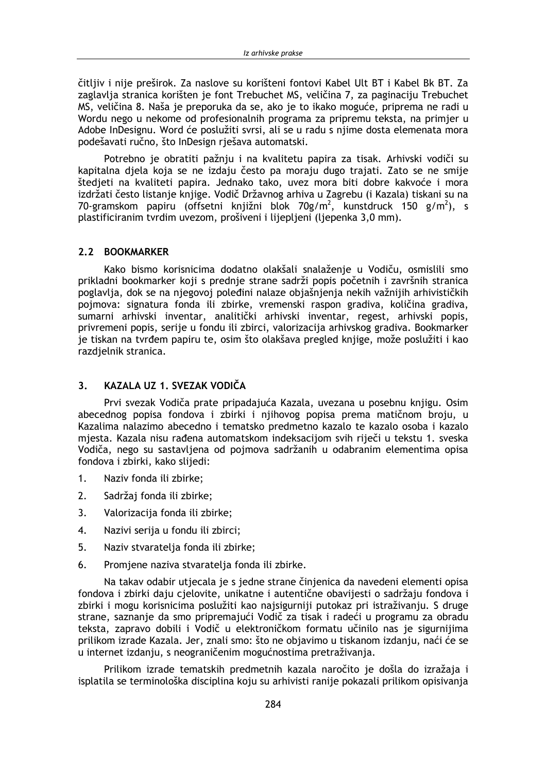čitljiv i nije preširok. Za naslove su korišteni fontovi Kabel Ult BT i Kabel Bk BT. Za zaglavlja stranica korišten je font Trebuchet MS, veličina 7, za paginaciju Trebuchet MS, veličina 8. Naša je preporuka da se, ako je to ikako moguće, priprema ne radi u Wordu nego u nekome od profesionalnih programa za pripremu teksta, na primier u Adobe InDesignu. Word će poslužiti svrsi, ali se u radu s njime dosta elemenata mora podešavati ručno, što InDesign rješava automatski.

Potrebno je obratiti pažnju i na kvalitetu papira za tisak. Arhivski vodiči su kapitalna djela koja se ne izdaju često pa moraju dugo trajati. Zato se ne smije štedjeti na kvaliteti papira. Jednako tako, uvez mora biti dobre kakvoće i mora izdržati često listanje knjige. Vodič Državnog arhiva u Zagrebu (i Kazala) tiskani su na 70-gramskom papiru (offsetni knjižni blok 70g/m<sup>2</sup>, kunstdruck 150 g/m<sup>2</sup>), s plastificiranim tvrdim uvezom, prošiveni i lijepljeni (ljepenka 3,0 mm).

## 2.2 BOOKMARKER

Kako bismo korisnicima dodatno olakšali snalaženje u Vodiču, osmislili smo prikladni bookmarker koji s prednje strane sadrži popis početnih i završnih stranica poglavlja, dok se na njegovoj poleđini nalaze objašnjenja nekih važnijih arhivističkih pojmova: signatura fonda ili zbirke, vremenski raspon gradiva, količina gradiva, sumarni arhivski inventar, analitički arhivski inventar, regest, arhivski popis, privremeni popis, serije u fondu ili zbirci, valorizacija arhivskog gradiva. Bookmarker je tiskan na tvrđem papiru te, osim što olakšava pregled knjige, može poslužiti i kao razdjelnik stranica.

#### $3<sub>1</sub>$ KAZALA UZ 1. SVEZAK VODIČA

Prvi svezak Vodiča prate pripadajuća Kazala, uvezana u posebnu knjigu. Osim abecednog popisa fondova i zbirki i nijhovog popisa prema matičnom broju, u Kazalima nalazimo abecedno i tematsko predmetno kazalo te kazalo osoba i kazalo miesta. Kazala nisu rađena automatskom indeksacijom svih riječi u tekstu 1. sveska Vodiča, nego su sastavljena od pojmova sadržanih u odabranim elementima opisa fondova i zbirki, kako slijedi:

- $1<sup>1</sup>$ Naziv fonda ili zbirke:
- $2.$ Sadržaj fonda ili zbirke;
- $3.$ Valorizacija fonda ili zbirke;
- $\mathbf{4}$ . Nazivi serija u fondu ili zbirci;
- 5. Naziv stvaratelja fonda ili zbirke;
- 6. Promjene naziva stvaratelja fonda ili zbirke.

Na takav odabir utjecala je s jedne strane činjenica da navedeni elementi opisa fondova i zbirki daju cjelovite, unikatne i autentične obavijesti o sadržaju fondova i zbirki i mogu korisnicima poslužiti kao najsigurniji putokaz pri istraživanju. S druge strane, saznanje da smo pripremajući Vodič za tisak i radeći u programu za obradu teksta, zapravo dobili i Vodič u elektroničkom formatu učinilo nas je sigurnijima prilikom izrade Kazala. Jer, znali smo: što ne objavimo u tiskanom izdanju, naći će se u internet izdanju, s neograničenim mogućnostima pretraživanja.

Prilikom izrade tematskih predmetnih kazala naročito je došla do izražaja i isplatila se terminološka disciplina koju su arhivisti ranije pokazali prilikom opisivanja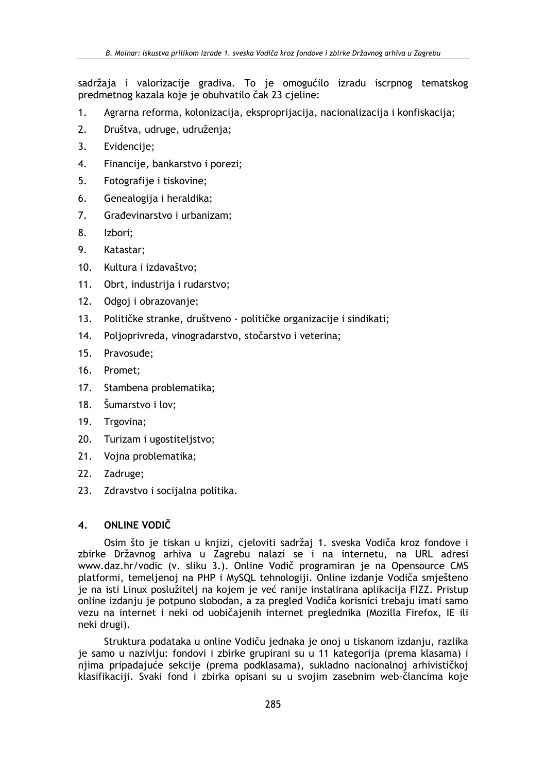sadržaja i valorizacije gradiva. To je omogućilo izradu iscrpnog tematskog predmetnog kazala koje je obuhvatilo čak 23 cjeline:

- $1.$ Agrarna reforma, kolonizacija, eksproprijacija, nacionalizacija i konfiskacija;
- $\overline{2}$ Društva, udruge, udruženja;
- $\overline{3}$ . Evidenciie:
- 4. Financije, bankarstvo i porezi;
- 5. Fotografije i tiskovine;
- $6.$ Genealogija i heraldika;
- 7. Građevinarstvo i urbanizam;
- 8. Izbori;
- 9. Katastar;
- $10<sub>1</sub>$ Kultura i izdavaštvo:
- $11.$ Obrt, industrija i rudarstvo;
- $12<sub>1</sub>$ Odgoj i obrazovanje;
- $13<sub>1</sub>$ Političke stranke, društveno - političke organizacije i sindikati;
- $14.$ Polioprivreda, vinogradarstvo, stočarstvo i veterina;
- $15.$ Pravosuđe;
- $16.$ Promet:
- $17.$ Stambena problematika;
- $18.$ Šumarstvo i lov;
- $19.$ Trgovina;
- $20.$ Turizam i ugostiteljstvo;
- 21. Vojna problematika;
- 22. Zadruge;
- 23. Zdravstvo i socijalna politika.

#### **ONLINE VODIČ**  $\overline{\mathbf{4}}$

Osim što je tiskan u knjizi, cjeloviti sadržaj 1. sveska Vodiča kroz fondove j zbirke Državnog arhiva u Zagrebu nalazi se i na internetu, na URL adresi www.daz.hr/vodic (v. sliku 3.). Online Vodič programiran je na Opensource CMS platformi, temeljenoj na PHP i MySQL tehnologiji. Online izdanje Vodiča smješteno je na isti Linux poslužitelj na kojem je već ranije instalirana aplikacija FIZZ. Pristup online izdanju je potpuno slobodan, a za pregled Vodiča korisnici trebaju imati samo vezu na internet i neki od uobičajenih internet preglednika (Mozilla Firefox, IE ili neki drugi).

Struktura podataka u online Vodiču jednaka je onoj u tiskanom izdanju, razlika je samo u nazivlju: fondovi i zbirke grupirani su u 11 kategorija (prema klasama) i njima pripadajuće sekcije (prema podklasama), sukladno nacionalnoj arhivističkoj klasifikaciji. Svaki fond i zbirka opisani su u svojim zasebnim web-člancima koje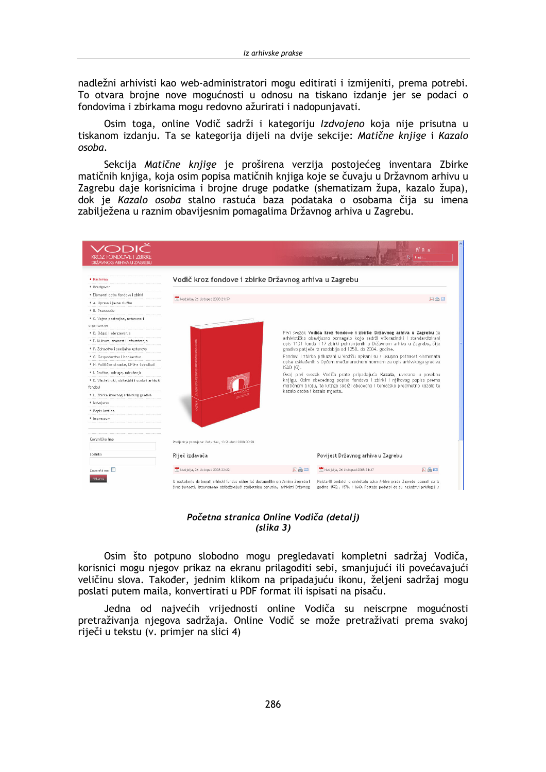nadležni arhivisti kao web-administratori mogu editirati i izmijeniti, prema potrebi. To otvara brojne nove mogućnosti u odnosu na tiskano izdanje jer se podaci o fondovima i zbirkama mogu redovno ažurirati i nadopunjavati.

Osim toga, online Vodič sadrži i kategoriju Izdvojeno koja nije prisutna u tiskanom izdanju. Ta se kategorija dijeli na dvije sekcije: Matične knjige i Kazalo osoba.

Sekcija Matične knjige je proširena verzija postojećeg inventara Zbirke matičnih knjiga, koja osim popisa matičnih knjiga koje se čuvaju u Državnom arhivu u Zagrebu daje korisnicima i brojne druge podatke (shematizam župa, kazalo župa), dok je Kazalo osoba stalno rastuća baza podataka o osobama čija su imena zabilježena u raznim obavijesnim pomagalima Državnog arhiva u Zagrebu.

| KROZ FONDOVE I ZBIRKE<br>DRŽAVNOG ARHIVA U ZAGREBU |                                                                                                                                                                        |                               |                                                                                                                                                          | $A^*A$ $A^-$<br>traži<br>Q. |
|----------------------------------------------------|------------------------------------------------------------------------------------------------------------------------------------------------------------------------|-------------------------------|----------------------------------------------------------------------------------------------------------------------------------------------------------|-----------------------------|
| · Naslovna<br>· Predeovor                          | Vodič kroz fondove i zbirke Državnog arhiva u Zagrebu                                                                                                                  |                               |                                                                                                                                                          |                             |
| * Elementi opisa fondova i zbirki                  | Nedjelja, 26 Listopad 2008 21:59                                                                                                                                       |                               |                                                                                                                                                          | 人合口                         |
| * A. Uprava i javne službe                         |                                                                                                                                                                        |                               |                                                                                                                                                          |                             |
| · B. Prayosude                                     |                                                                                                                                                                        |                               |                                                                                                                                                          |                             |
| * C. Vojne postrojbe, ustanove i<br>organizacije   |                                                                                                                                                                        |                               |                                                                                                                                                          |                             |
| * D. Odgoj i obrazovanje                           |                                                                                                                                                                        |                               | Prvi svezak Vodiča kroz fondove i zbirke Državnog arhiva u Zagrebu je                                                                                    |                             |
| * E. Kultura, znanost i informiranje               |                                                                                                                                                                        |                               | arhivističko obavijesno pomagalo koje sadrži višerazinski i standardizirani<br>opis 1131 fonda i 17 zbirki pohranjenih u Državnom arhivu u Zagrebu, čije |                             |
| * F. Zdravstvo i socijalne ustanove                |                                                                                                                                                                        |                               | gradivo potječe iz razdoblja od 1258. do 2004. godine.                                                                                                   |                             |
| * G. Gospodarstvo i bankarstvo                     |                                                                                                                                                                        |                               | Fondovi i zbirke prikazani u Vodiču opisani su s ukupno petnaest elemenata                                                                               |                             |
| · H. Političke stranke, DPO-e i sindikati          |                                                                                                                                                                        | $ISAD(G)$ .                   | opisa usklađenih s Općom međunarodnom normom za opis arhivskoga gradiva                                                                                  |                             |
| * I. Društva, udruge, udruženja                    |                                                                                                                                                                        |                               | Ovaj prvi svezak Vodiča prate pripadajuća Kazala, uvezana u posebnu                                                                                      |                             |
| * K. Vlastelinski, obiteliski i osobni arhivski    |                                                                                                                                                                        |                               | kniigu. Osim abecednog popisa fondova i zbirki i njihovog popisa prema                                                                                   |                             |
| fondovi                                            |                                                                                                                                                                        | kazalo osoba i kazalo mjesta. | matičnom broju, ta knjiga sadrži abecedno i tematsko predmetno kazalo te                                                                                 |                             |
| . L. Zbirke izvornog arhivskog gradiva             |                                                                                                                                                                        |                               |                                                                                                                                                          |                             |
| · Izdvojeno                                        |                                                                                                                                                                        |                               |                                                                                                                                                          |                             |
| · Popis kratica                                    |                                                                                                                                                                        |                               |                                                                                                                                                          |                             |
| · Impressum                                        |                                                                                                                                                                        |                               |                                                                                                                                                          |                             |
| Korisničko Ime                                     | Posljednja promjena: četvrtak, 13 Studeni 2008 00:28                                                                                                                   |                               |                                                                                                                                                          |                             |
| Lozinka                                            | Riječ izdavača                                                                                                                                                         |                               | Povijest Državnog arhiva u Zagrebu                                                                                                                       |                             |
| $Z$ apamti me $\square$                            | Nedjelja, 26 Listopad 2008 22:22                                                                                                                                       | 人合口                           | Nedjelja, 26 Listopad 2008 21:47                                                                                                                         | 人合口                         |
| PRIJAVA                                            | U nastojanju da bogati arhivski fundus učine još dostupnijim građanima Zagreba i<br>široj javnosti, istovremeno obilježavajući stoljetnicu osnutka, arhivisti Državnog |                               | Najstariji podatci o smještaju spisa Arhiva grada Zagreba poznati su iz<br>godine 1572., 1578. i 1643. Postoje podatci da su najvažniji privilegiji s    |                             |

## Početna stranica Online Vodiča (detalj) (slika 3)

Osim što potpuno slobodno mogu pregledavati kompletni sadržaj Vodiča, korisnici mogu njegov prikaz na ekranu prilagoditi sebi, smanjujući ili povećavajući veličinu slova. Također, jednim klikom na pripadajuću ikonu, željeni sadržaj mogu poslati putem maila, konvertirati u PDF format ili ispisati na pisaču.

Jedna od najvećih vrijednosti online Vodiča su neiscrpne mogućnosti pretraživanja njegova sadržaja. Online Vodič se može pretraživati prema svakoj riječi u tekstu (v. primjer na slici 4)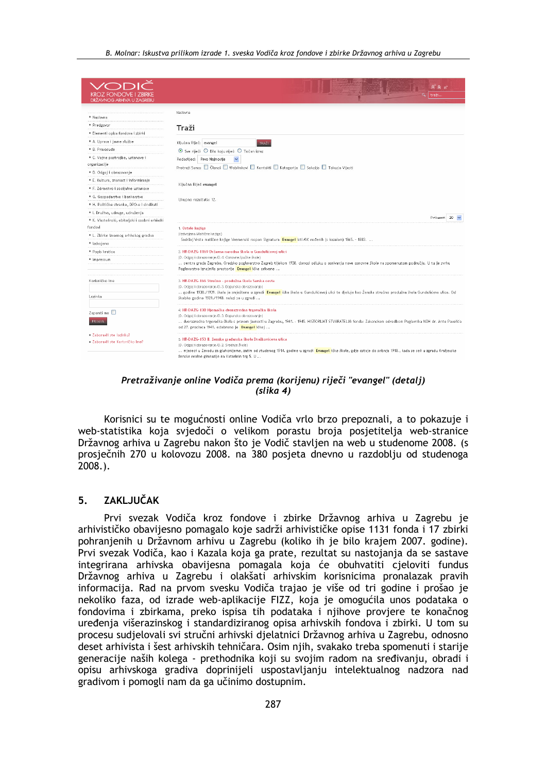| KROZ FONDOVE I ZBIRKE                            | $A^*A$<br>traži                                                                                                                                                                                                                                                                                                             |  |  |  |  |
|--------------------------------------------------|-----------------------------------------------------------------------------------------------------------------------------------------------------------------------------------------------------------------------------------------------------------------------------------------------------------------------------|--|--|--|--|
| <b>DRŽAVNOG ARHIVA U ZAGREBU</b>                 |                                                                                                                                                                                                                                                                                                                             |  |  |  |  |
| · Naslovna                                       | Naslovna                                                                                                                                                                                                                                                                                                                    |  |  |  |  |
| · Predgovor                                      | Traži                                                                                                                                                                                                                                                                                                                       |  |  |  |  |
| * Elementi opisa fondova i zbirki                |                                                                                                                                                                                                                                                                                                                             |  |  |  |  |
| * A. Uprava i javne službe                       | Ključna Riječ: evangel<br>TRAŽL.                                                                                                                                                                                                                                                                                            |  |  |  |  |
| · B. Pravosuđe                                   | ⊙ Sve riječi O Bilo koju riječ O Točan izraz                                                                                                                                                                                                                                                                                |  |  |  |  |
| * C. Vojne postrojbe, ustanove i<br>organizacije | Redostijed: Prvo Najnovije<br>Pretraži Samo: □ Članci □ Weblinkovi □ Kontakti □ Kategorije □ Sekcije □ Tekuće Vijesti                                                                                                                                                                                                       |  |  |  |  |
| * D. Odgoj i obrazovanje                         |                                                                                                                                                                                                                                                                                                                             |  |  |  |  |
| * E. Kultura, znanost i informiranje             |                                                                                                                                                                                                                                                                                                                             |  |  |  |  |
| * F. Zdravstvo i socijalne ustanove              | Ključna Riječ evangel                                                                                                                                                                                                                                                                                                       |  |  |  |  |
| * G. Gospodarstvo i bankarstvo                   | Ukupno rezultata: 12.                                                                                                                                                                                                                                                                                                       |  |  |  |  |
| * H. Političke stranke, DPO-e i sindikati        |                                                                                                                                                                                                                                                                                                                             |  |  |  |  |
| * I. Društva, udruge, udruženja                  |                                                                                                                                                                                                                                                                                                                             |  |  |  |  |
| * K. Vlastelinski, obiteljski i osobni arhivski  | Prikazati 20                                                                                                                                                                                                                                                                                                                |  |  |  |  |
| fondovi                                          | 1. Ostale knjige                                                                                                                                                                                                                                                                                                            |  |  |  |  |
| · L. Zbirke izvornog arhivskog gradiva           | (Izdvojeno/Matične knjige)<br>Sadržaj Vrsta matične knjige Vremenski raspon Signatura Evangel isti MK rođenih (s kazalom) 1865. - 1883.                                                                                                                                                                                     |  |  |  |  |
| · Izdvojeno                                      |                                                                                                                                                                                                                                                                                                                             |  |  |  |  |
| · Popis kratica                                  | 2. HR-DAZG-1169 Državna narodna škola u Gundulićevoj ulici                                                                                                                                                                                                                                                                  |  |  |  |  |
| * Impressum                                      | (D. Odgoj i obrazovanje/D.4. Osnovne/pučke škole)<br>centra grada Zagreba, Gradsko poglavarstvo Zagreb tijekom 1938. donosi odluku o osnivanju nove osnovne škole na spomenutom području. U tu je svrhu<br>Poglavarstvo iznajmilo prostorije Evangel ičke crkvene                                                           |  |  |  |  |
| Korisničko Ime                                   | 3. HR-DAZG-166 Stručno - produžna škola Savska cesta<br>(D. Odgoj i obrazovanje/D.3. Dopunsko obrazovanje)<br>godine 1938./1939. škola je smještena u zgradi <mark>Evangel i</mark> čke škole u Gundulićevoj ulici te djeluje kao Ženska stručno produžna škola Gundulićeva ulica. Od                                       |  |  |  |  |
| Lozinka                                          | školske godine 1939./1940. nalazi se u zgradi                                                                                                                                                                                                                                                                               |  |  |  |  |
| Zapamti me                                       | 4. HR-DAZG-130 Njemačka dvorazredna trgovačka škola                                                                                                                                                                                                                                                                         |  |  |  |  |
| PRIJAVA                                          | (D. Odgoj i obrazovanje/D.3. Dopunsko obrazovanje)<br>dvorazredna trgovačka škola s pravom javnosti u Zagrebu, 1941. - 1945. HISTORIJAT STVARATELJA fonda: Zakonskom odredbom Poglavnika NDH dr. Ante Pavelića<br>od 27. prosinca 1941. odobreno je Evangel ičkoj                                                           |  |  |  |  |
| · Zaboravili ste lozinku?                        |                                                                                                                                                                                                                                                                                                                             |  |  |  |  |
| · Zaboravili ste Korisničko Ime?                 | 5. HR-DAZG-153 II. ženska građanska škola Draškovićeva ulica<br>(D. Odgoj i obrazovanje/D.2. Srednje škole)<br>mjeseci u Zavodu za gluhonijeme, zatim od studenog 1914. godine u zgradi Evangel ičke škole, gdje ostaje do svibnja 1918., kada se seli u zgradu Kraljevske<br>ženske realne gimnazije na Katarinin trg 5. U |  |  |  |  |

Pretraživanje online Vodiča prema (korijenu) riječi "evangel" (detalj) (slika 4)

Korisnici su te mogućnosti online Vodiča vrlo brzo prepoznali, a to pokazuje i web-statistika koja svjedoči o velikom porastu broja posjetitelja web-stranice Državnog arhiva u Zagrebu nakon što je Vodič stavljen na web u studenome 2008. (s prosječnih 270 u kolovozu 2008. na 380 posjeta dnevno u razdoblju od studenoga  $2008.$ ).

#### **ZAKLJUČAK** 5.

Prvi svezak Vodiča kroz fondove i zbirke Državnog arhiva u Zagrebu je arhivističko obavijesno pomagalo koje sadrži arhivističke opise 1131 fonda i 17 zbirki pohranjenih u Državnom arhivu u Zagrebu (koliko ih je bilo krajem 2007. godine). Prvi svezak Vodiča, kao i Kazala koja ga prate, rezultat su nastojanja da se sastave integrirana arhivska obavijesna pomagala koja će obuhvatiti cjeloviti fundus Državnog arhiva u Zagrebu i olakšati arhivskim korisnicima pronalazak pravih informacija. Rad na prvom svesku Vodiča trajao je više od tri godine i prošao je nekoliko faza, od izrade web-aplikacije FIZZ, koja je omogućila unos podataka o fondovima i zbirkama, preko ispisa tih podataka i njihove provjere te konačnog uređenja višerazinskog i standardiziranog opisa arhivskih fondova i zbirki. U tom su procesu sudjelovali svi stručni arhivski djelatnici Državnog arhiva u Zagrebu, odnosno deset arhivista i šest arhivskih tehničara. Osim njih, svakako treba spomenuti i starije generacije naših kolega - prethodnika koji su svojim radom na sređivaniu, obradi i opisu arhivskoga gradiva doprinijeli uspostavljanju intelektualnog nadzora nad gradivom i pomogli nam da ga učinimo dostupnim.